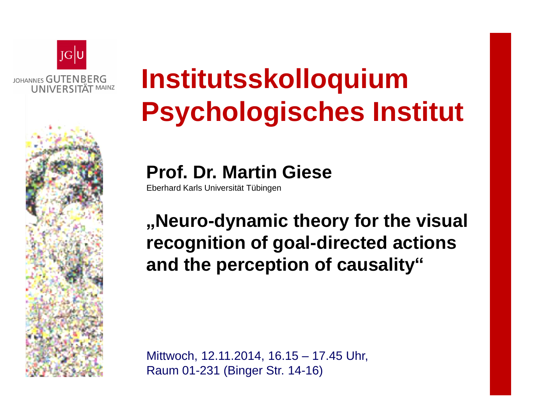

## **Institutsskolloquium Psychologisches Institut**

**Prof. Dr. Martin Giese**

Eberhard Karls Universität Tübingen

**"Neuro-dynamic theory for the visual recognition of goal-directed actions and the perception of causality"**

Mittwoch, 12.11.2014, 16.15 – 17.45 Uhr, Raum 01-231 (Binger Str. 14-16)